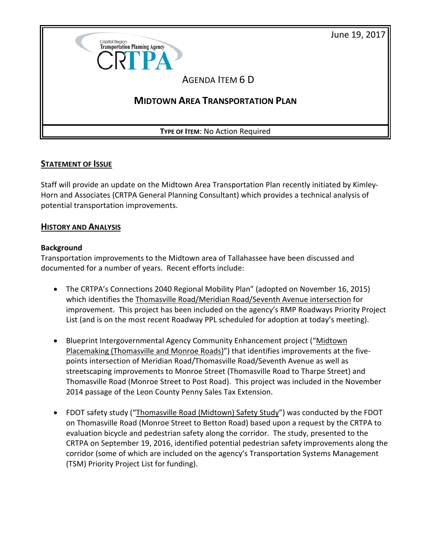June 19, 2017



## **STATEMENT OF ISSUE**

Staff will provide an update on the Midtown Area Transportation Plan recently initiated by Kimley-Horn and Associates (CRTPA General Planning Consultant) which provides a technical analysis of potential transportation improvements.

## **HISTORY AND ANALYSIS**

#### **Background**

Transportation improvements to the Midtown area of Tallahassee have been discussed and documented for a number of years. Recent efforts include:

- The CRTPA's Connections 2040 Regional Mobility Plan" (adopted on November 16, 2015) which identifies the Thomasville Road/Meridian Road/Seventh Avenue intersection for improvement. This project has been included on the agency's RMP Roadways Priority Project List (and is on the most recent Roadway PPL scheduled for adoption at today's meeting).
- Blueprint Intergovernmental Agency Community Enhancement project ("Midtown Placemaking (Thomasville and Monroe Roads)") that identifies improvements at the fivepoints intersection of Meridian Road/Thomasville Road/Seventh Avenue as well as streetscaping improvements to Monroe Street (Thomasville Road to Tharpe Street) and Thomasville Road (Monroe Street to Post Road). This project was included in the November 2014 passage of the Leon County Penny Sales Tax Extension.
- FDOT safety study ("Thomasville Road (Midtown) Safety Study") was conducted by the FDOT on Thomasville Road (Monroe Street to Betton Road) based upon a request by the CRTPA to evaluation bicycle and pedestrian safety along the corridor. The study, presented to the CRTPA on September 19, 2016, identified potential pedestrian safety improvements along the corridor (some of which are included on the agency's Transportation Systems Management (TSM) Priority Project List for funding).